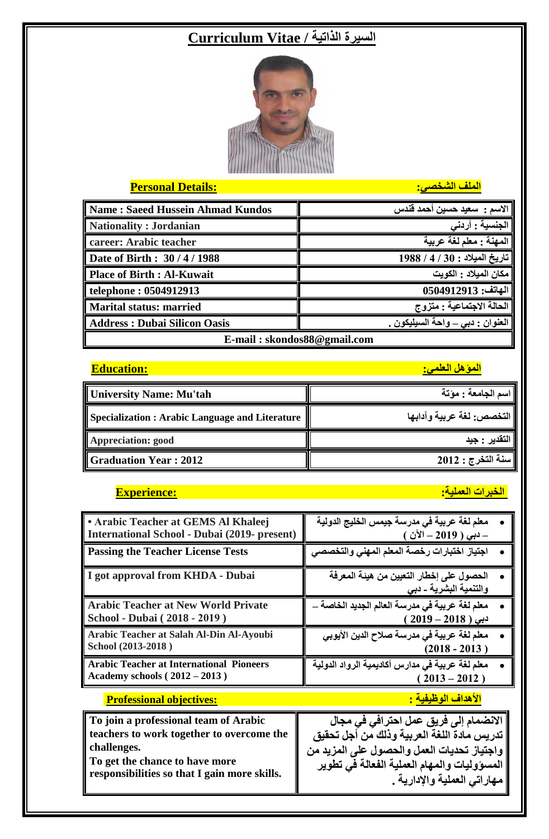# **السيرة الذاتية / Vitae Curriculum**



### **الملف الشخصي: :Details Personal**

| Name: Saeed Hussein Ahmad Kundos    | الاسم :  سعيد حسين أحمد قندس              |  |
|-------------------------------------|-------------------------------------------|--|
| Nationality : Jordanian             | الجنسية : أردنى                           |  |
| career: Arabic teacher              | المهنة : معلم لغة عربية                   |  |
| Date of Birth: 30/4/1988            | تاريخ الميلاد : 30 / 4 / 1988             |  |
| Place of Birth : Al-Kuwait          | مكان الميلاد : الكويت                     |  |
| $\vert$ telephone: 0504912913       | الهاتف: 0504912913                        |  |
| <b>Marital status: married</b>      | <mark>  الحالة ا</mark> لاجتماعية : متزوج |  |
| <b>Address: Dubai Silicon Oasis</b> | العنوان : دبي _ واحة السيليكون .          |  |
| E-mail: skondos88@gmail.com         |                                           |  |

## **المؤهل العلمي: :Education**

| University Name: Mu'tah                         | اسم الجامعة : مؤتة        |
|-------------------------------------------------|---------------------------|
| Specialization : Arabic Language and Literature | التخصص: لغة عربية وآدابها |
| <b>Appreciation: good</b>                       | ، التقدير : جيد           |
| <b>Graduation Year: 2012</b>                    | سنة التخرج : 2012         |

### **الخبرات العملية: :Experience**

| <b>• Arabic Teacher at GEMS Al Khaleej</b>          | معلم لغة عربية في مدرسة جيمس الخليج الدولية                        |
|-----------------------------------------------------|--------------------------------------------------------------------|
| <b>International School - Dubai (2019- present)</b> | – دبي ( 2019 – الآن )                                              |
| <b>Passing the Teacher License Tests</b>            | اجتياز اختبارات رخصة المعلم المهنى والتخصصى                        |
| I got approval from KHDA - Dubai                    | الحصول على إخطار التعيين من هيئة المعرفة<br>والتنمية البشرية - دبي |
| <b>Arabic Teacher at New World Private</b>          | معلم لغة عربية في مدرسة العالم الجديد الخاصة _                     |
| School - Dubai (2018 - 2019)                        | $(2019 - 2018)$ دبی                                                |
| Arabic Teacher at Salah Al-Din Al-Ayoubi            | معلم لغة عربية في مدرسة صلاح الدين الأيوبي                         |
| School (2013-2018)                                  | $(2018 - 2013)$                                                    |
| <b>Arabic Teacher at International Pioneers</b>     | معلم لغة عربية في مدارس أكاديمية الرواد الدولية                    |
| Academy schools (2012 – 2013)                       | $2013 - 2012$ )                                                    |
| <b>Professional objectives:</b>                     | <mark>الأهداف الوظيفية :</mark>                                    |
| To join a professional team of Arabic               | الانضمام إلى فريق عمل احترافي في مجال                              |
| teachers to work together to overcome the           | تدريس مادة اللغة العربية وذلك من أجل تحقيق                         |
| challenges.                                         | واجتياز تحديات العمل والحصول على المزيد من                         |
| To get the chance to have more                      | المسوّوليات والمهام العملية الفعالة في تطوير                       |
| responsibilities so that I gain more skills.        | مـهاراتي الـعملية والإدارية .                                      |